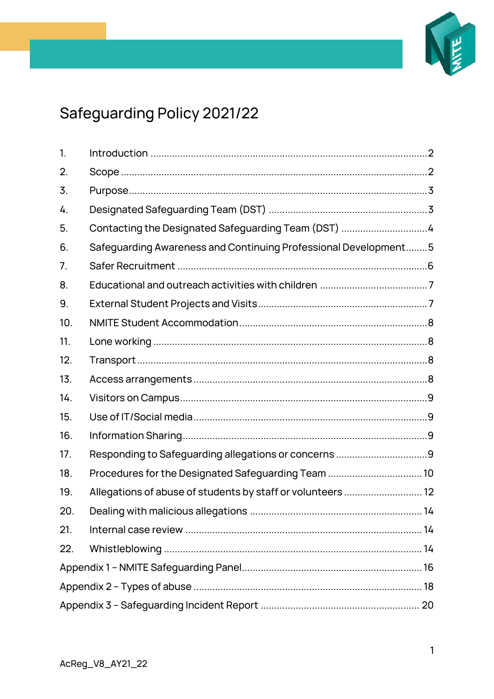

# Safeguarding Policy 2021/22

| 1.  |                                                                 |  |  |  |  |
|-----|-----------------------------------------------------------------|--|--|--|--|
| 2.  |                                                                 |  |  |  |  |
| 3.  |                                                                 |  |  |  |  |
| 4.  |                                                                 |  |  |  |  |
| 5.  | Contacting the Designated Safeguarding Team (DST) 4             |  |  |  |  |
| 6.  | Safeguarding Awareness and Continuing Professional Development5 |  |  |  |  |
| 7.  |                                                                 |  |  |  |  |
| 8.  |                                                                 |  |  |  |  |
| 9.  |                                                                 |  |  |  |  |
| 10. |                                                                 |  |  |  |  |
| 11. |                                                                 |  |  |  |  |
| 12. |                                                                 |  |  |  |  |
| 13. |                                                                 |  |  |  |  |
| 14. |                                                                 |  |  |  |  |
| 15. |                                                                 |  |  |  |  |
| 16. |                                                                 |  |  |  |  |
| 17. |                                                                 |  |  |  |  |
| 18. | Procedures for the Designated Safeguarding Team  10             |  |  |  |  |
| 19. | Allegations of abuse of students by staff or volunteers  12     |  |  |  |  |
| 20. |                                                                 |  |  |  |  |
| 21. |                                                                 |  |  |  |  |
| 22. |                                                                 |  |  |  |  |
|     |                                                                 |  |  |  |  |
|     |                                                                 |  |  |  |  |
|     |                                                                 |  |  |  |  |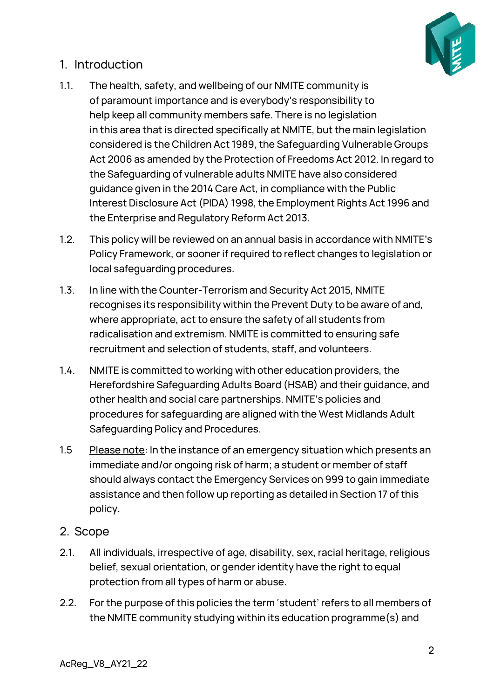

## <span id="page-1-0"></span>1. Introduction

- 1.1. The health, safety, and wellbeing of our NMITE community is of paramount importance and is everybody's responsibility to help keep all community members safe. There is no legislation in this area that is directed specifically at NMITE, but the main legislation considered is the Children Act 1989, the Safeguarding Vulnerable Groups Act 2006 as amended by the Protection of Freedoms Act 2012. In regard to the Safeguarding of vulnerable adults NMITE have also considered guidance given in the 2014 Care Act, in compliance with the Public Interest Disclosure Act (PIDA) 1998, the Employment Rights Act 1996 and the Enterprise and Regulatory Reform Act 2013.
- 1.2. This policy will be reviewed on an annual basis in accordance with NMITE's Policy Framework, or sooner if required to reflect changes to legislation or local safeguarding procedures.
- 1.3. In line with the Counter-Terrorism and Security Act 2015, NMITE recognises its responsibility within the Prevent Duty to be aware of and, where appropriate, act to ensure the safety of all students from radicalisation and extremism. NMITE is committed to ensuring safe recruitment and selection of students, staff, and volunteers.
- 1.4. NMITE is committed to working with other education providers, the Herefordshire Safeguarding Adults Board (HSAB) and their guidance, and other health and social care partnerships. NMITE's policies and procedures for safeguarding are aligned with the West Midlands Adult Safeguarding Policy and Procedures.
- 1.5 Please note: In the instance of an emergency situation which presents an immediate and/or ongoing risk of harm; a student or member of staff should always contact the Emergency Services on 999 to gain immediate assistance and then follow up reporting as detailed in Section 17 of this policy.

#### <span id="page-1-1"></span>2. Scope

- 2.1. All individuals, irrespective of age, disability, sex, racial heritage, religious belief, sexual orientation, or gender identity have the right to equal protection from all types of harm or abuse.
- 2.2. For the purpose of this policies the term 'student' refers to all members of the NMITE community studying within its education programme(s) and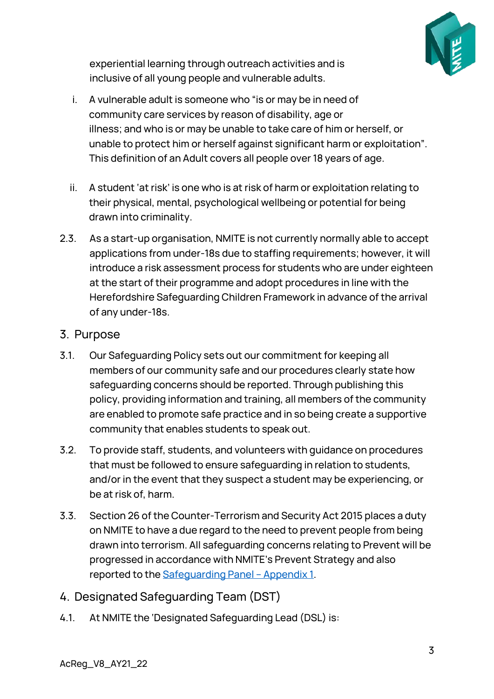

experiential learning through outreach activities and is inclusive of all young people and vulnerable adults.

- i. A vulnerable adult is someone who "is or may be in need of community care services by reason of disability, age or illness; and who is or may be unable to take care of him or herself, or unable to protect him or herself against significant harm or exploitation". This definition of an Adult covers all people over 18 years of age.
- ii. A student 'at risk' is one who is at risk of harm or exploitation relating to their physical, mental, psychological wellbeing or potential for being drawn into criminality.
- 2.3. As a start-up organisation, NMITE is not currently normally able to accept applications from under-18s due to staffing requirements; however, it will introduce a risk assessment process for students who are under eighteen at the start of their programme and adopt procedures in line with the Herefordshire Safeguarding Children Framework in advance of the arrival of any under-18s.

#### <span id="page-2-0"></span>3. Purpose

- 3.1. Our Safeguarding Policy sets out our commitment for keeping all members of our community safe and our procedures clearly state how safeguarding concerns should be reported. Through publishing this policy, providing information and training, all members of the community are enabled to promote safe practice and in so being create a supportive community that enables students to speak out.
- 3.2. To provide staff, students, and volunteers with guidance on procedures that must be followed to ensure safeguarding in relation to students, and/or in the event that they suspect a student may be experiencing, or be at risk of, harm.
- 3.3. Section 26 of the Counter-Terrorism and Security Act 2015 places a duty on NMITE to have a due regard to the need to prevent people from being drawn into terrorism. All safeguarding concerns relating to Prevent will be progressed in accordance with NMITE's Prevent Strategy and also reported to the [Safeguarding](#page-6-1) Panel – Appendix 1.
- <span id="page-2-1"></span>4. Designated Safeguarding Team (DST)
- 4.1. At NMITE the 'Designated Safeguarding Lead (DSL) is: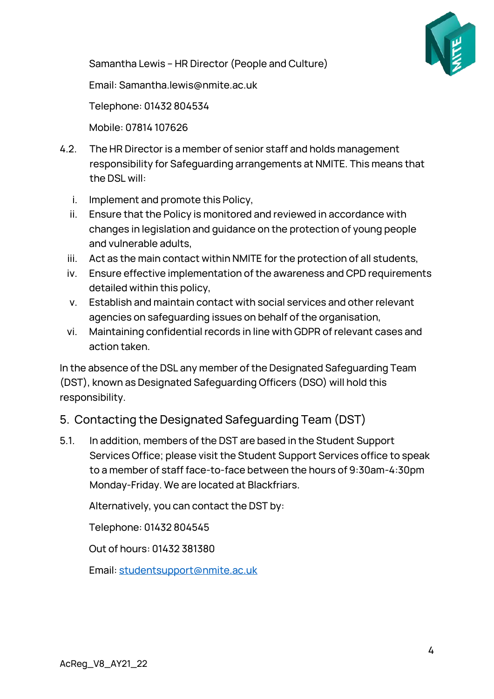

Samantha Lewis – HR Director (People and Culture)

Email: Samantha.lewis@nmite.ac.uk

Telephone: 01432 804534

Mobile: 07814 107626

- 4.2. The HR Director is a member of senior staff and holds management responsibility for Safeguarding arrangements at NMITE. This means that the DSL will:
	- i. Implement and promote this Policy,
	- ii. Ensure that the Policy is monitored and reviewed in accordance with changes in legislation and guidance on the protection of young people and vulnerable adults,
	- iii. Act as the main contact within NMITE for the protection of all students,
	- iv. Ensure effective implementation of the awareness and CPD requirements detailed within this policy,
	- v. Establish and maintain contact with social services and other relevant agencies on safeguarding issues on behalf of the organisation,
	- vi. Maintaining confidential records in line with GDPR of relevant cases and action taken.

In the absence of the DSL any member of the Designated Safeguarding Team (DST), known as Designated Safeguarding Officers (DSO) will hold this responsibility.

## <span id="page-3-0"></span>5. Contacting the Designated Safeguarding Team (DST)

5.1. In addition, members of the DST are based in the Student Support Services Office; please visit the Student Support Services office to speak to a member of staff face-to-face between the hours of 9:30am-4:30pm Monday-Friday. We are located at Blackfriars.

Alternatively, you can contact the DST by:

Telephone: 01432 804545

Out of hours: 01432 381380

Email[: studentsupport@nmite.ac.uk](mailto:studentsupport@nmite.ac.uk)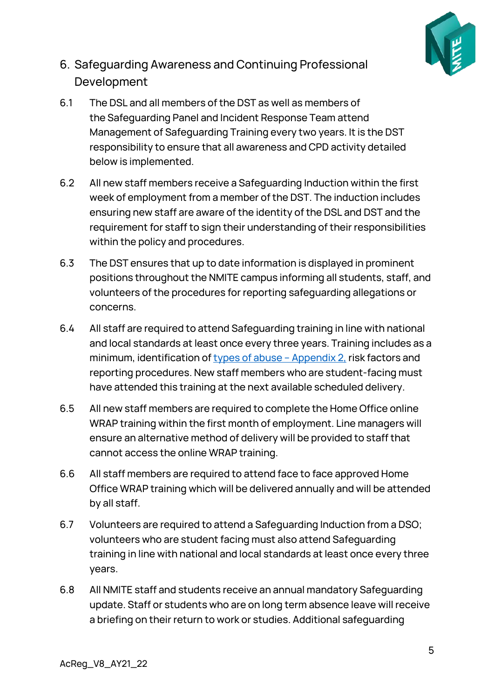

## <span id="page-4-0"></span>6. Safeguarding Awareness and Continuing Professional Development

- 6.1 The DSL and all members of the DST as well as members of the Safeguarding Panel and Incident Response Team attend Management of Safeguarding Training every two years. It is the DST responsibility to ensure that all awareness and CPD activity detailed below is implemented.
- 6.2 All new staff members receive a Safeguarding Induction within the first week of employment from a member of the DST. The induction includes ensuring new staff are aware of the identity of the DSL and DST and the requirement for staff to sign their understanding of their responsibilities within the policy and procedures.
- 6.3 The DST ensures that up to date information is displayed in prominent positions throughout the NMITE campus informing all students, staff, and volunteers of the procedures for reporting safeguarding allegations or concerns.
- 6.4 All staff are required to attend Safeguarding training in line with national and local standards at least once every three years. Training includes as a minimum, identification of [types of abuse](#page-17-0) - Appendix 2, risk factors and reporting procedures. New staff members who are student-facing must have attended this training at the next available scheduled delivery.
- 6.5 All new staff members are required to complete the Home Office online WRAP training within the first month of employment. Line managers will ensure an alternative method of delivery will be provided to staff that cannot access the online WRAP training.
- 6.6 All staff members are required to attend face to face approved Home Office WRAP training which will be delivered annually and will be attended by all staff.
- 6.7 Volunteers are required to attend a Safeguarding Induction from a DSO; volunteers who are student facing must also attend Safeguarding training in line with national and local standards at least once every three years.
- 6.8 All NMITE staff and students receive an annual mandatory Safeguarding update. Staff or students who are on long term absence leave will receive a briefing on their return to work or studies. Additional safeguarding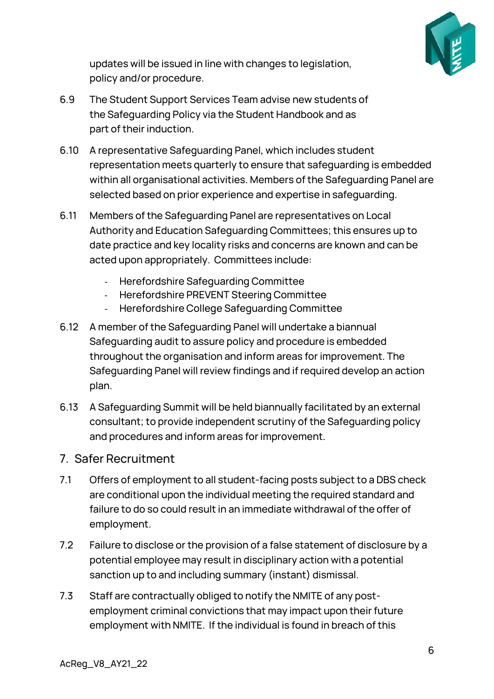

updates will be issued in line with changes to legislation, policy and/or procedure.

- 6.9 The Student Support Services Team advise new students of the Safeguarding Policy via the Student Handbook and as part of their induction.
- 6.10 A representative Safeguarding Panel, which includes student representation meets quarterly to ensure that safeguarding is embedded within all organisational activities. Members of the Safeguarding Panel are selected based on prior experience and expertise in safeguarding.
- 6.11 Members of the Safeguarding Panel are representatives on Local Authority and Education Safeguarding Committees; this ensures up to date practice and key locality risks and concerns are known and can be acted upon appropriately. Committees include:
	- Herefordshire Safeguarding Committee
	- Herefordshire PREVENT Steering Committee
	- Herefordshire College Safeguarding Committee
- 6.12 A member of the Safeguarding Panel will undertake a biannual Safeguarding audit to assure policy and procedure is embedded throughout the organisation and inform areas for improvement. The Safeguarding Panel will review findings and if required develop an action plan.
- 6.13 A Safeguarding Summit will be held biannually facilitated by an external consultant; to provide independent scrutiny of the Safeguarding policy and procedures and inform areas for improvement.

#### <span id="page-5-0"></span>7. Safer Recruitment

- 7.1 Offers of employment to all student-facing posts subject to a DBS check are conditional upon the individual meeting the required standard and failure to do so could result in an immediate withdrawal of the offer of employment.
- 7.2 Failure to disclose or the provision of a false statement of disclosure by a potential employee may result in disciplinary action with a potential sanction up to and including summary (instant) dismissal.
- 7.3 Staff are contractually obliged to notify the NMITE of any postemployment criminal convictions that may impact upon their future employment with NMITE. If the individual is found in breach of this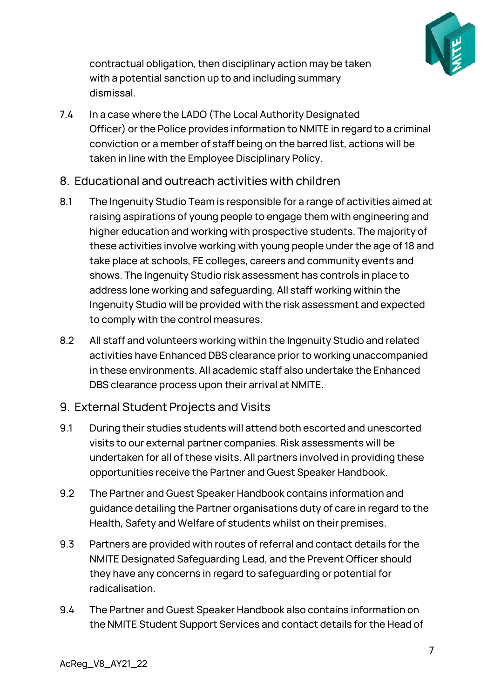

contractual obligation, then disciplinary action may be taken with a potential sanction up to and including summary dismissal.

- 7.4 In a case where the LADO (The Local Authority Designated Officer) or the Police provides information to NMITE in regard to a criminal conviction or a member of staff being on the barred list, actions will be taken in line with the Employee Disciplinary Policy.
- <span id="page-6-0"></span>8. Educational and outreach activities with children
- 8.1 The Ingenuity Studio Team is responsible for a range of activities aimed at raising aspirations of young people to engage them with engineering and higher education and working with prospective students. The majority of these activities involve working with young people under the age of 18 and take place at schools, FE colleges, careers and community events and shows. The Ingenuity Studio risk assessment has controls in place to address lone working and safeguarding. All staff working within the Ingenuity Studio will be provided with the risk assessment and expected to comply with the control measures.
- 8.2 All staff and volunteers working within the Ingenuity Studio and related activities have Enhanced DBS clearance prior to working unaccompanied in these environments. All academic staff also undertake the Enhanced DBS clearance process upon their arrival at NMITE.
- <span id="page-6-1"></span>9. External Student Projects and Visits
- 9.1 During their studies students will attend both escorted and unescorted visits to our external partner companies. Risk assessments will be undertaken for all of these visits. All partners involved in providing these opportunities receive the Partner and Guest Speaker Handbook.
- 9.2 The Partner and Guest Speaker Handbook contains information and guidance detailing the Partner organisations duty of care in regard to the Health, Safety and Welfare of students whilst on their premises.
- 9.3 Partners are provided with routes of referral and contact details for the NMITE Designated Safeguarding Lead, and the Prevent Officer should they have any concerns in regard to safeguarding or potential for radicalisation.
- 9.4 The Partner and Guest Speaker Handbook also contains information on the NMITE Student Support Services and contact details for the Head of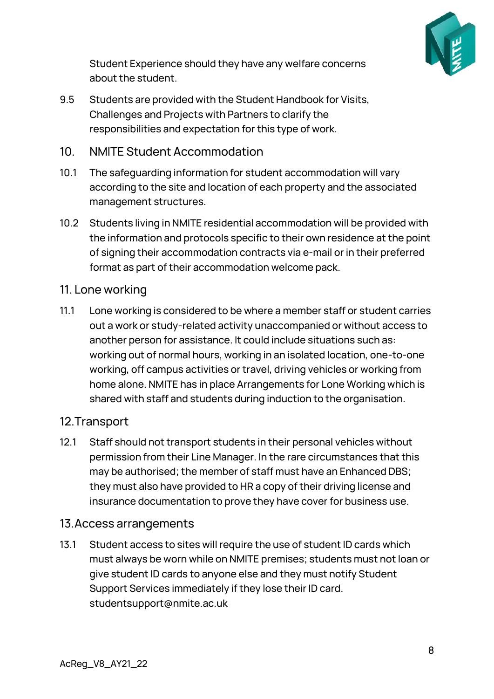

Student Experience should they have any welfare concerns about the student.

9.5 Students are provided with the Student Handbook for Visits, Challenges and Projects with Partners to clarify the responsibilities and expectation for this type of work.

#### <span id="page-7-0"></span>10. NMITE Student Accommodation

- 10.1 The safeguarding information for student accommodation will vary according to the site and location of each property and the associated management structures.
- 10.2 Students living in NMITE residential accommodation will be provided with the information and protocols specific to their own residence at the point of signing their accommodation contracts via e-mail or in their preferred format as part of their accommodation welcome pack.

#### <span id="page-7-1"></span>11. Lone working

11.1 Lone working is considered to be where a member staff or student carries out a work or study-related activity unaccompanied or without access to another person for assistance. It could include situations such as: working out of normal hours, working in an isolated location, one-to-one working, off campus activities or travel, driving vehicles or working from home alone. NMITE has in place Arrangements for Lone Working which is shared with staff and students during induction to the organisation.

#### <span id="page-7-2"></span>12.Transport

12.1 Staff should not transport students in their personal vehicles without permission from their Line Manager. In the rare circumstances that this may be authorised; the member of staff must have an Enhanced DBS; they must also have provided to HR a copy of their driving license and insurance documentation to prove they have cover for business use.

#### <span id="page-7-3"></span>13.Access arrangements

13.1 Student access to sites will require the use of student ID cards which must always be worn while on NMITE premises; students must not loan or give student ID cards to anyone else and they must notify Student Support Services immediately if they lose their ID card. studentsupport@nmite.ac.uk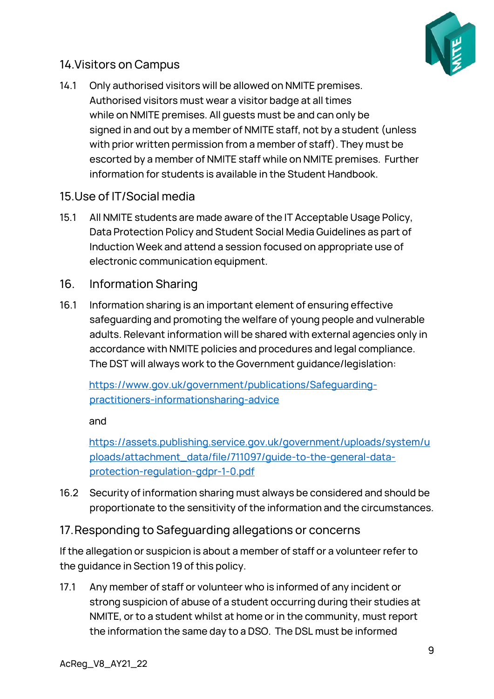

## <span id="page-8-0"></span>14.Visitors on Campus

14.1 Only authorised visitors will be allowed on NMITE premises. Authorised visitors must wear a visitor badge at all times while on NMITE premises. All guests must be and can only be signed in and out by a member of NMITE staff, not by a student (unless with prior written permission from a member of staff). They must be escorted by a member of NMITE staff while on NMITE premises. Further information for students is available in the Student Handbook.

#### <span id="page-8-1"></span>15.Use of IT/Social media

- 15.1 All NMITE students are made aware of the IT Acceptable Usage Policy, Data Protection Policy and Student Social Media Guidelines as part of Induction Week and attend a session focused on appropriate use of electronic communication equipment.
- <span id="page-8-2"></span>16. Information Sharing
- 16.1 Information sharing is an important element of ensuring effective safeguarding and promoting the welfare of young people and vulnerable adults. Relevant information will be shared with external agencies only in accordance with NMITE policies and procedures and legal compliance. The DST will always work to the Government guidance/legislation:

[https://www.gov.uk/government/publications/Safeguarding](https://www.gov.uk/government/publications/safeguarding-practitioners-informationsharing-advice)[practitioners-informationsharing-advice](https://www.gov.uk/government/publications/safeguarding-practitioners-informationsharing-advice)

and

[https://assets.publishing.service.gov.uk/government/uploads/system/u](https://assets.publishing.service.gov.uk/government/uploads/system/uploads/attachment_data/file/711097/guide-to-the-general-data-protection-regulation-gdpr-1-0.pdf) [ploads/attachment\\_data/file/711097/guide-to-the-general-data](https://assets.publishing.service.gov.uk/government/uploads/system/uploads/attachment_data/file/711097/guide-to-the-general-data-protection-regulation-gdpr-1-0.pdf)[protection-regulation-gdpr-1-0.pdf](https://assets.publishing.service.gov.uk/government/uploads/system/uploads/attachment_data/file/711097/guide-to-the-general-data-protection-regulation-gdpr-1-0.pdf)

16.2 Security of information sharing must always be considered and should be proportionate to the sensitivity of the information and the circumstances.

#### <span id="page-8-3"></span>17.Responding to Safeguarding allegations or concerns

If the allegation or suspicion is about a member of staff or a volunteer refer to the guidance in Section 19 of this policy.

17.1 Any member of staff or volunteer who is informed of any incident or strong suspicion of abuse of a student occurring during their studies at NMITE, or to a student whilst at home or in the community, must report the information the same day to a DSO. The DSL must be informed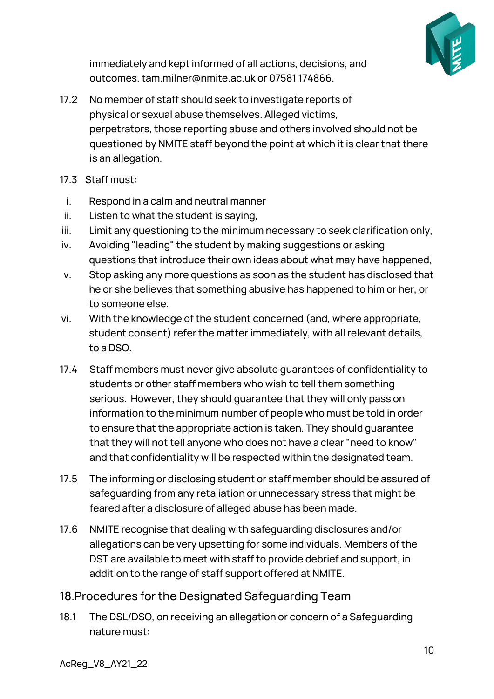

immediately and kept informed of all actions, decisions, and outcomes. tam.milner@nmite.ac.uk or 07581 174866.

- 17.2 No member of staff should seek to investigate reports of physical or sexual abuse themselves. Alleged victims, perpetrators, those reporting abuse and others involved should not be questioned by NMITE staff beyond the point at which it is clear that there is an allegation.
- 17.3 Staff must:
- i. Respond in a calm and neutral manner
- ii. Listen to what the student is saying,
- iii. Limit any questioning to the minimum necessary to seek clarification only,
- iv. Avoiding "leading" the student by making suggestions or asking questions that introduce their own ideas about what may have happened,
- v. Stop asking any more questions as soon as the student has disclosed that he or she believes that something abusive has happened to him or her, or to someone else.
- vi. With the knowledge of the student concerned (and, where appropriate, student consent) refer the matter immediately, with all relevant details, to a DSO.
- 17.4 Staff members must never give absolute guarantees of confidentiality to students or other staff members who wish to tell them something serious. However, they should guarantee that they will only pass on information to the minimum number of people who must be told in order to ensure that the appropriate action is taken. They should guarantee that they will not tell anyone who does not have a clear "need to know" and that confidentiality will be respected within the designated team.
- 17.5 The informing or disclosing student or staff member should be assured of safeguarding from any retaliation or unnecessary stress that might be feared after a disclosure of alleged abuse has been made.
- 17.6 NMITE recognise that dealing with safeguarding disclosures and/or allegations can be very upsetting for some individuals. Members of the DST are available to meet with staff to provide debrief and support, in addition to the range of staff support offered at NMITE.

#### <span id="page-9-0"></span>18.Procedures for the Designated Safeguarding Team

18.1 The DSL/DSO, on receiving an allegation or concern of a Safeguarding nature must: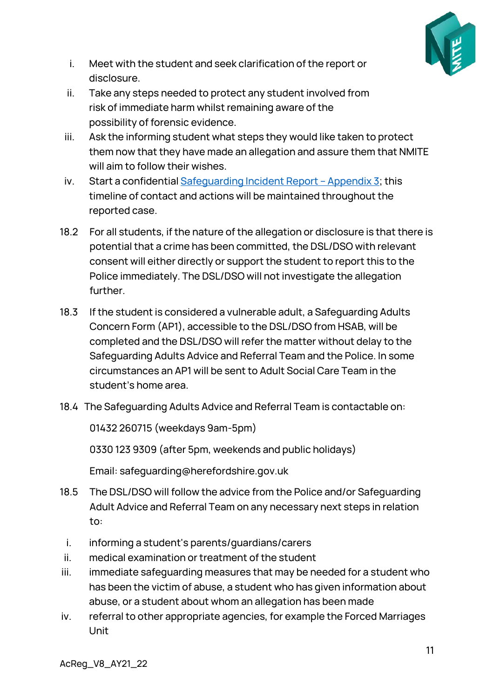

- i. Meet with the student and seek clarification of the report or disclosure.
- ii. Take any steps needed to protect any student involved from risk of immediate harm whilst remaining aware of the possibility of forensic evidence.
- iii. Ask the informing student what steps they would like taken to protect them now that they have made an allegation and assure them that NMITE will aim to follow their wishes.
- iv. Start a confidential  $Safeguarding Incident Report Appendix 3; this$  $Safeguarding Incident Report Appendix 3; this$  $Safeguarding Incident Report Appendix 3; this$ timeline of contact and actions will be maintained throughout the reported case.
- 18.2 For all students, if the nature of the allegation or disclosure is that there is potential that a crime has been committed, the DSL/DSO with relevant consent will either directly or support the student to report this to the Police immediately. The DSL/DSO will not investigate the allegation further.
- 18.3 If the student is considered a vulnerable adult, a Safeguarding Adults Concern Form (AP1), accessible to the DSL/DSO from HSAB, will be completed and the DSL/DSO will refer the matter without delay to the Safeguarding Adults Advice and Referral Team and the Police. In some circumstances an AP1 will be sent to Adult Social Care Team in the student's home area.
- 18.4 The Safeguarding Adults Advice and Referral Team is contactable on:

01432 260715 (weekdays 9am-5pm)

0330 123 9309 (after 5pm, weekends and public holidays)

Email: safeguarding@herefordshire.gov.uk

- 18.5 The DSL/DSO will follow the advice from the Police and/or Safeguarding Adult Advice and Referral Team on any necessary next steps in relation to:
	- i. informing a student's parents/guardians/carers
- ii. medical examination or treatment of the student
- iii. immediate safeguarding measures that may be needed for a student who has been the victim of abuse, a student who has given information about abuse, or a student about whom an allegation has been made
- iv. referral to other appropriate agencies, for example the Forced Marriages Unit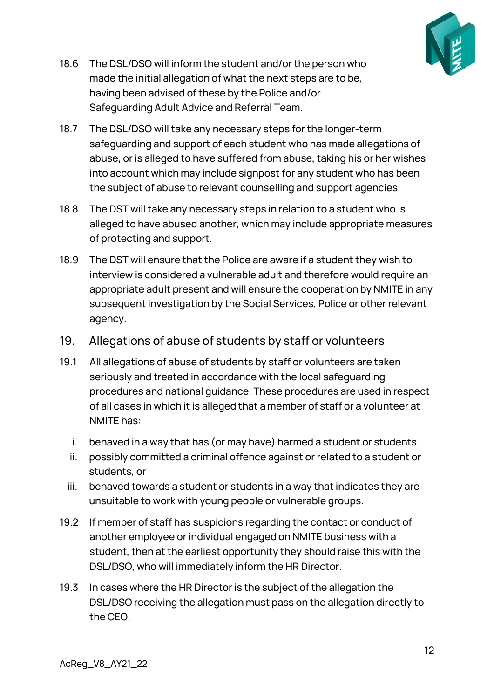

- 18.6 The DSL/DSO will inform the student and/or the person who made the initial allegation of what the next steps are to be, having been advised of these by the Police and/or Safeguarding Adult Advice and Referral Team.
- 18.7 The DSL/DSO will take any necessary steps for the longer-term safeguarding and support of each student who has made allegations of abuse, or is alleged to have suffered from abuse, taking his or her wishes into account which may include signpost for any student who has been the subject of abuse to relevant counselling and support agencies.
- 18.8 The DST will take any necessary steps in relation to a student who is alleged to have abused another, which may include appropriate measures of protecting and support.
- 18.9 The DST will ensure that the Police are aware if a student they wish to interview is considered a vulnerable adult and therefore would require an appropriate adult present and will ensure the cooperation by NMITE in any subsequent investigation by the Social Services, Police or other relevant agency.
- <span id="page-11-0"></span>19. Allegations of abuse of students by staff or volunteers
- 19.1 All allegations of abuse of students by staff or volunteers are taken seriously and treated in accordance with the local safeguarding procedures and national guidance. These procedures are used in respect of all cases in which it is alleged that a member of staff or a volunteer at NMITE has:
	- i. behaved in a way that has (or may have) harmed a student or students.
	- ii. possibly committed a criminal offence against or related to a student or students, or
	- iii. behaved towards a student or students in a way that indicates they are unsuitable to work with young people or vulnerable groups.
- 19.2 If member of staff has suspicions regarding the contact or conduct of another employee or individual engaged on NMITE business with a student, then at the earliest opportunity they should raise this with the DSL/DSO, who will immediately inform the HR Director.
- 19.3 In cases where the HR Director is the subject of the allegation the DSL/DSO receiving the allegation must pass on the allegation directly to the CEO.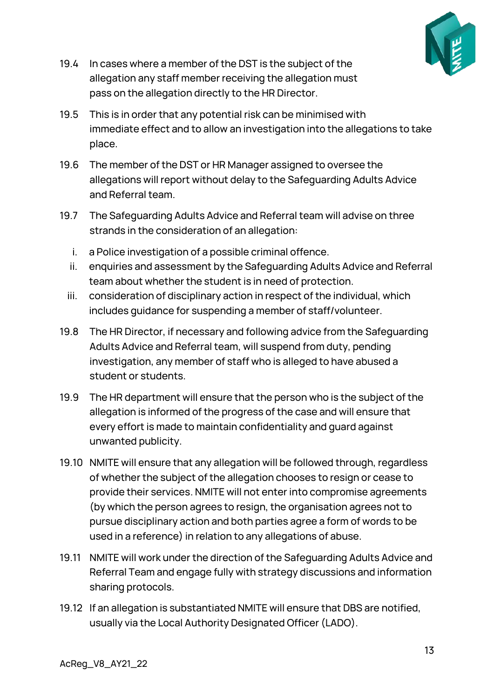

- 19.4 In cases where a member of the DST is the subject of the allegation any staff member receiving the allegation must pass on the allegation directly to the HR Director.
- 19.5 This is in order that any potential risk can be minimised with immediate effect and to allow an investigation into the allegations to take place.
- 19.6 The member of the DST or HR Manager assigned to oversee the allegations will report without delay to the Safeguarding Adults Advice and Referral team.
- 19.7 The Safeguarding Adults Advice and Referral team will advise on three strands in the consideration of an allegation:
	- i. a Police investigation of a possible criminal offence.
	- ii. enquiries and assessment by the Safeguarding Adults Advice and Referral team about whether the student is in need of protection.
	- iii. consideration of disciplinary action in respect of the individual, which includes guidance for suspending a member of staff/volunteer.
- 19.8 The HR Director, if necessary and following advice from the Safeguarding Adults Advice and Referral team, will suspend from duty, pending investigation, any member of staff who is alleged to have abused a student or students.
- 19.9 The HR department will ensure that the person who is the subject of the allegation is informed of the progress of the case and will ensure that every effort is made to maintain confidentiality and guard against unwanted publicity.
- 19.10 NMITE will ensure that any allegation will be followed through, regardless of whether the subject of the allegation chooses to resign or cease to provide their services. NMITE will not enter into compromise agreements (by which the person agrees to resign, the organisation agrees not to pursue disciplinary action and both parties agree a form of words to be used in a reference) in relation to any allegations of abuse.
- 19.11 NMITE will work under the direction of the Safeguarding Adults Advice and Referral Team and engage fully with strategy discussions and information sharing protocols.
- 19.12 If an allegation is substantiated NMITE will ensure that DBS are notified, usually via the Local Authority Designated Officer (LADO).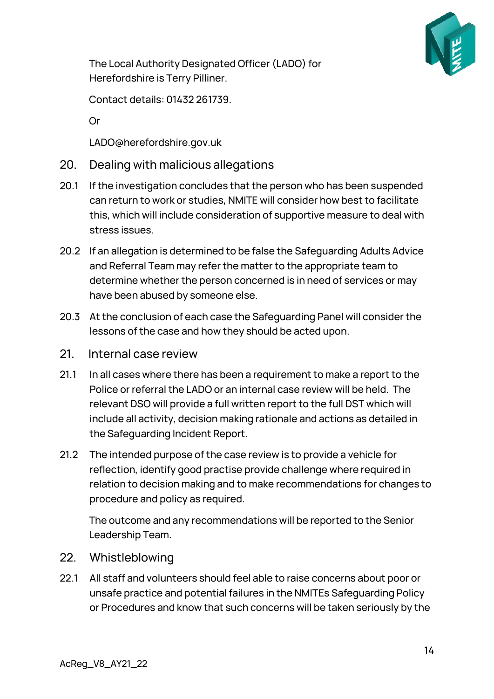

The Local Authority Designated Officer (LADO) for Herefordshire is Terry Pilliner.

Contact details: 01432 261739.

Or

LADO@herefordshire.gov.uk

- <span id="page-13-0"></span>20. Dealing with malicious allegations
- 20.1 If the investigation concludes that the person who has been suspended can return to work or studies, NMITE will consider how best to facilitate this, which will include consideration of supportive measure to deal with stress issues.
- 20.2 If an allegation is determined to be false the Safeguarding Adults Advice and Referral Team may refer the matter to the appropriate team to determine whether the person concerned is in need of services or may have been abused by someone else.
- 20.3 At the conclusion of each case the Safeguarding Panel will consider the lessons of the case and how they should be acted upon.
- <span id="page-13-1"></span>21. Internal case review
- 21.1 In all cases where there has been a requirement to make a report to the Police or referral the LADO or an internal case review will be held. The relevant DSO will provide a full written report to the full DST which will include all activity, decision making rationale and actions as detailed in the Safeguarding Incident Report.
- 21.2 The intended purpose of the case review is to provide a vehicle for reflection, identify good practise provide challenge where required in relation to decision making and to make recommendations for changes to procedure and policy as required.

The outcome and any recommendations will be reported to the Senior Leadership Team.

- <span id="page-13-2"></span>22. Whistleblowing
- 22.1 All staff and volunteers should feel able to raise concerns about poor or unsafe practice and potential failures in the NMITEs Safeguarding Policy or Procedures and know that such concerns will be taken seriously by the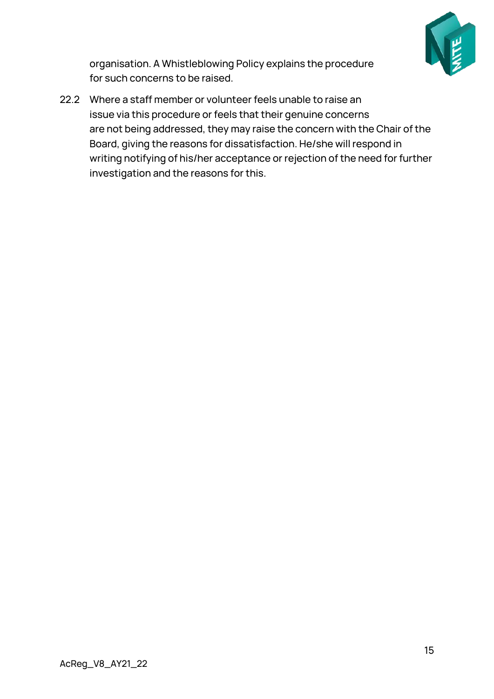

organisation. A Whistleblowing Policy explains the procedure for such concerns to be raised.

22.2 Where a staff member or volunteer feels unable to raise an issue via this procedure or feels that their genuine concerns are not being addressed, they may raise the concern with the Chair of the Board, giving the reasons for dissatisfaction. He/she will respond in writing notifying of his/her acceptance or rejection of the need for further investigation and the reasons for this.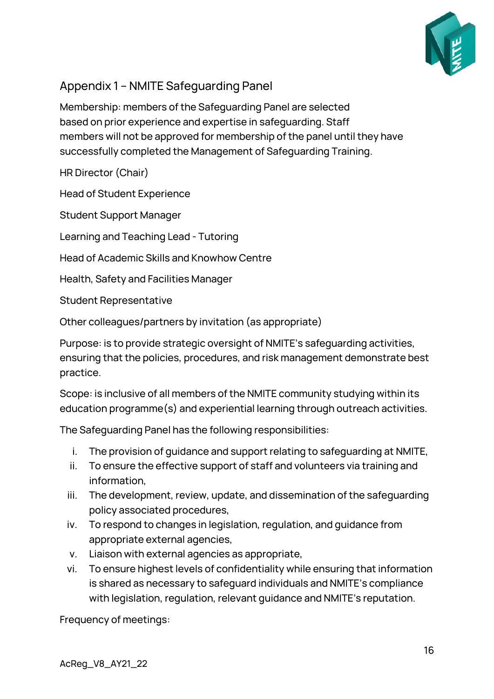

## <span id="page-15-0"></span>Appendix 1 – NMITE Safeguarding Panel

Membership: members of the Safeguarding Panel are selected based on prior experience and expertise in safeguarding. Staff members will not be approved for membership of the panel until they have successfully completed the Management of Safeguarding Training.

HR Director (Chair)

Head of Student Experience

Student Support Manager

Learning and Teaching Lead - Tutoring

Head of Academic Skills and Knowhow Centre

Health, Safety and Facilities Manager

Student Representative

Other colleagues/partners by invitation (as appropriate)

Purpose: is to provide strategic oversight of NMITE's safeguarding activities, ensuring that the policies, procedures, and risk management demonstrate best practice.

Scope: is inclusive of all members of the NMITE community studying within its education programme(s) and experiential learning through outreach activities.

The Safeguarding Panel has the following responsibilities:

- i. The provision of guidance and support relating to safeguarding at NMITE,
- ii. To ensure the effective support of staff and volunteers via training and information,
- iii. The development, review, update, and dissemination of the safeguarding policy associated procedures,
- iv. To respond to changes in legislation, regulation, and guidance from appropriate external agencies,
- v. Liaison with external agencies as appropriate,
- vi. To ensure highest levels of confidentiality while ensuring that information is shared as necessary to safeguard individuals and NMITE's compliance with legislation, regulation, relevant guidance and NMITE's reputation.

Frequency of meetings: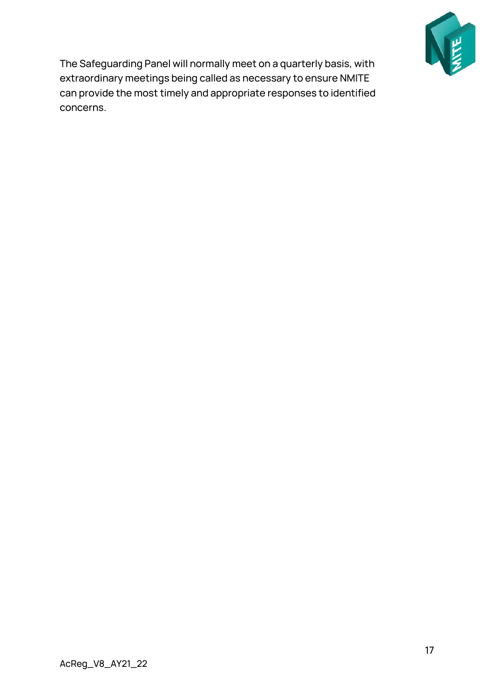

The Safeguarding Panel will normally meet on a quarterly basis, with extraordinary meetings being called as necessary to ensure NMITE can provide the most timely and appropriate responses to identified concerns.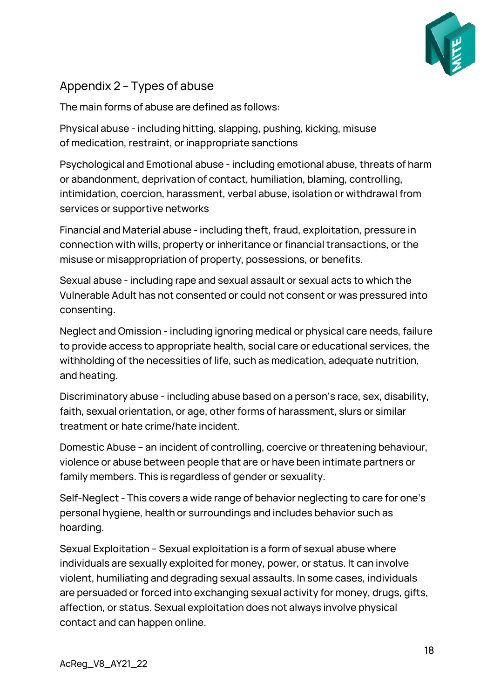

#### <span id="page-17-0"></span>Appendix 2 – Types of abuse

The main forms of abuse are defined as follows:

Physical abuse - including hitting, slapping, pushing, kicking, misuse of medication, restraint, or inappropriate sanctions

Psychological and Emotional abuse - including emotional abuse, threats of harm or abandonment, deprivation of contact, humiliation, blaming, controlling, intimidation, coercion, harassment, verbal abuse, isolation or withdrawal from services or supportive networks

Financial and Material abuse - including theft, fraud, exploitation, pressure in connection with wills, property or inheritance or financial transactions, or the misuse or misappropriation of property, possessions, or benefits.

Sexual abuse - including rape and sexual assault or sexual acts to which the Vulnerable Adult has not consented or could not consent or was pressured into consenting.

Neglect and Omission - including ignoring medical or physical care needs, failure to provide access to appropriate health, social care or educational services, the withholding of the necessities of life, such as medication, adequate nutrition, and heating.

Discriminatory abuse - including abuse based on a person's race, sex, disability, faith, sexual orientation, or age, other forms of harassment, slurs or similar treatment or hate crime/hate incident.

Domestic Abuse – an incident of controlling, coercive or threatening behaviour, violence or abuse between people that are or have been intimate partners or family members. This is regardless of gender or sexuality.

Self-Neglect - This covers a wide range of behavior neglecting to care for one's personal hygiene, health or surroundings and includes behavior such as hoarding.

Sexual Exploitation – Sexual exploitation is a form of sexual abuse where individuals are sexually exploited for money, power, or status. It can involve violent, humiliating and degrading sexual assaults. In some cases, individuals are persuaded or forced into exchanging sexual activity for money, drugs, gifts, affection, or status. Sexual exploitation does not always involve physical contact and can happen online.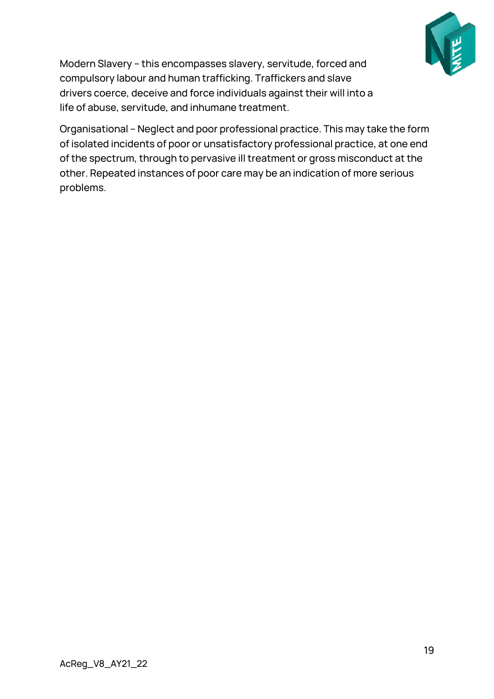

Modern Slavery – this encompasses slavery, servitude, forced and compulsory labour and human trafficking. Traffickers and slave drivers coerce, deceive and force individuals against their will into a life of abuse, servitude, and inhumane treatment.

Organisational – Neglect and poor professional practice. This may take the form of isolated incidents of poor or unsatisfactory professional practice, at one end of the spectrum, through to pervasive ill treatment or gross misconduct at the other. Repeated instances of poor care may be an indication of more serious problems.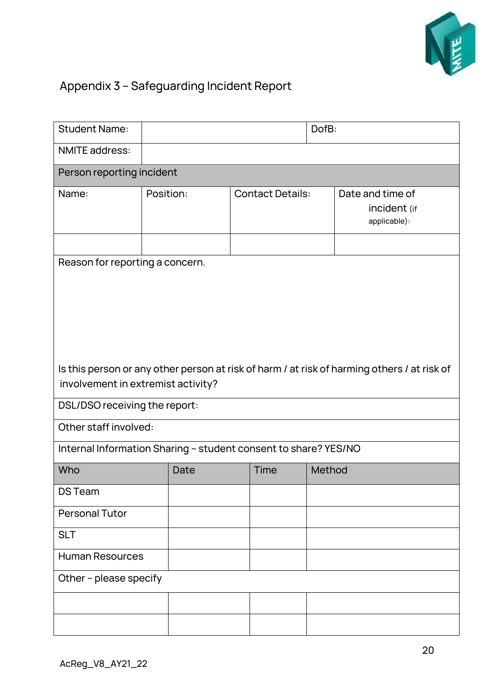

## <span id="page-19-0"></span>Appendix 3 – Safeguarding Incident Report

| <b>Student Name:</b>                                                                                                              |           |                         | DofB:                                            |  |  |  |  |  |
|-----------------------------------------------------------------------------------------------------------------------------------|-----------|-------------------------|--------------------------------------------------|--|--|--|--|--|
| <b>NMITE</b> address:                                                                                                             |           |                         |                                                  |  |  |  |  |  |
| Person reporting incident                                                                                                         |           |                         |                                                  |  |  |  |  |  |
| Name:                                                                                                                             | Position: | <b>Contact Details:</b> | Date and time of<br>incident (if<br>applicable): |  |  |  |  |  |
|                                                                                                                                   |           |                         |                                                  |  |  |  |  |  |
| Reason for reporting a concern.                                                                                                   |           |                         |                                                  |  |  |  |  |  |
|                                                                                                                                   |           |                         |                                                  |  |  |  |  |  |
|                                                                                                                                   |           |                         |                                                  |  |  |  |  |  |
|                                                                                                                                   |           |                         |                                                  |  |  |  |  |  |
|                                                                                                                                   |           |                         |                                                  |  |  |  |  |  |
|                                                                                                                                   |           |                         |                                                  |  |  |  |  |  |
| Is this person or any other person at risk of harm / at risk of harming others / at risk of<br>involvement in extremist activity? |           |                         |                                                  |  |  |  |  |  |
|                                                                                                                                   |           |                         |                                                  |  |  |  |  |  |
| DSL/DSO receiving the report:                                                                                                     |           |                         |                                                  |  |  |  |  |  |
| Other staff involved:                                                                                                             |           |                         |                                                  |  |  |  |  |  |
| Internal Information Sharing - student consent to share? YES/NO                                                                   |           |                         |                                                  |  |  |  |  |  |
| Who                                                                                                                               | Date      | <b>Time</b>             | Method                                           |  |  |  |  |  |
| <b>DS Team</b>                                                                                                                    |           |                         |                                                  |  |  |  |  |  |
| <b>Personal Tutor</b>                                                                                                             |           |                         |                                                  |  |  |  |  |  |
| <b>SLT</b>                                                                                                                        |           |                         |                                                  |  |  |  |  |  |
| <b>Human Resources</b>                                                                                                            |           |                         |                                                  |  |  |  |  |  |
| Other - please specify                                                                                                            |           |                         |                                                  |  |  |  |  |  |
|                                                                                                                                   |           |                         |                                                  |  |  |  |  |  |
|                                                                                                                                   |           |                         |                                                  |  |  |  |  |  |
|                                                                                                                                   |           |                         |                                                  |  |  |  |  |  |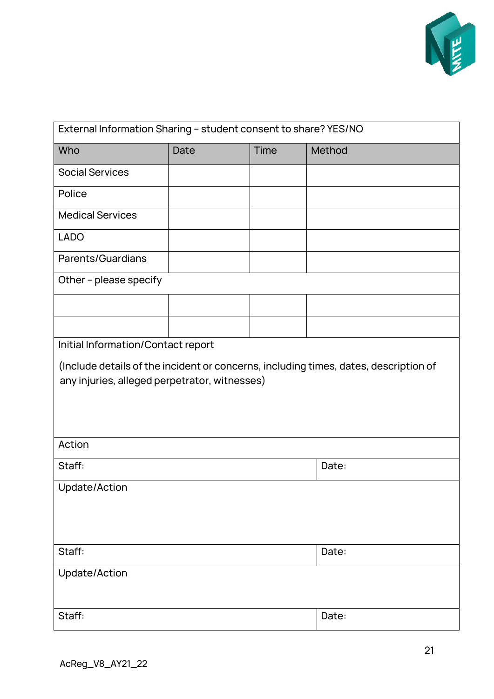

| External Information Sharing - student consent to share? YES/NO                                                                       |       |             |        |  |  |  |  |
|---------------------------------------------------------------------------------------------------------------------------------------|-------|-------------|--------|--|--|--|--|
| Who                                                                                                                                   | Date  | <b>Time</b> | Method |  |  |  |  |
| <b>Social Services</b>                                                                                                                |       |             |        |  |  |  |  |
| Police                                                                                                                                |       |             |        |  |  |  |  |
| <b>Medical Services</b>                                                                                                               |       |             |        |  |  |  |  |
| <b>LADO</b>                                                                                                                           |       |             |        |  |  |  |  |
| Parents/Guardians                                                                                                                     |       |             |        |  |  |  |  |
| Other - please specify                                                                                                                |       |             |        |  |  |  |  |
|                                                                                                                                       |       |             |        |  |  |  |  |
|                                                                                                                                       |       |             |        |  |  |  |  |
| Initial Information/Contact report                                                                                                    |       |             |        |  |  |  |  |
| (Include details of the incident or concerns, including times, dates, description of<br>any injuries, alleged perpetrator, witnesses) |       |             |        |  |  |  |  |
|                                                                                                                                       |       |             |        |  |  |  |  |
| Action                                                                                                                                |       |             |        |  |  |  |  |
| Staff:                                                                                                                                | Date: |             |        |  |  |  |  |
| Update/Action                                                                                                                         |       |             |        |  |  |  |  |
| Staff:                                                                                                                                | Date: |             |        |  |  |  |  |
| Update/Action                                                                                                                         |       |             |        |  |  |  |  |
| Staff:                                                                                                                                | Date: |             |        |  |  |  |  |